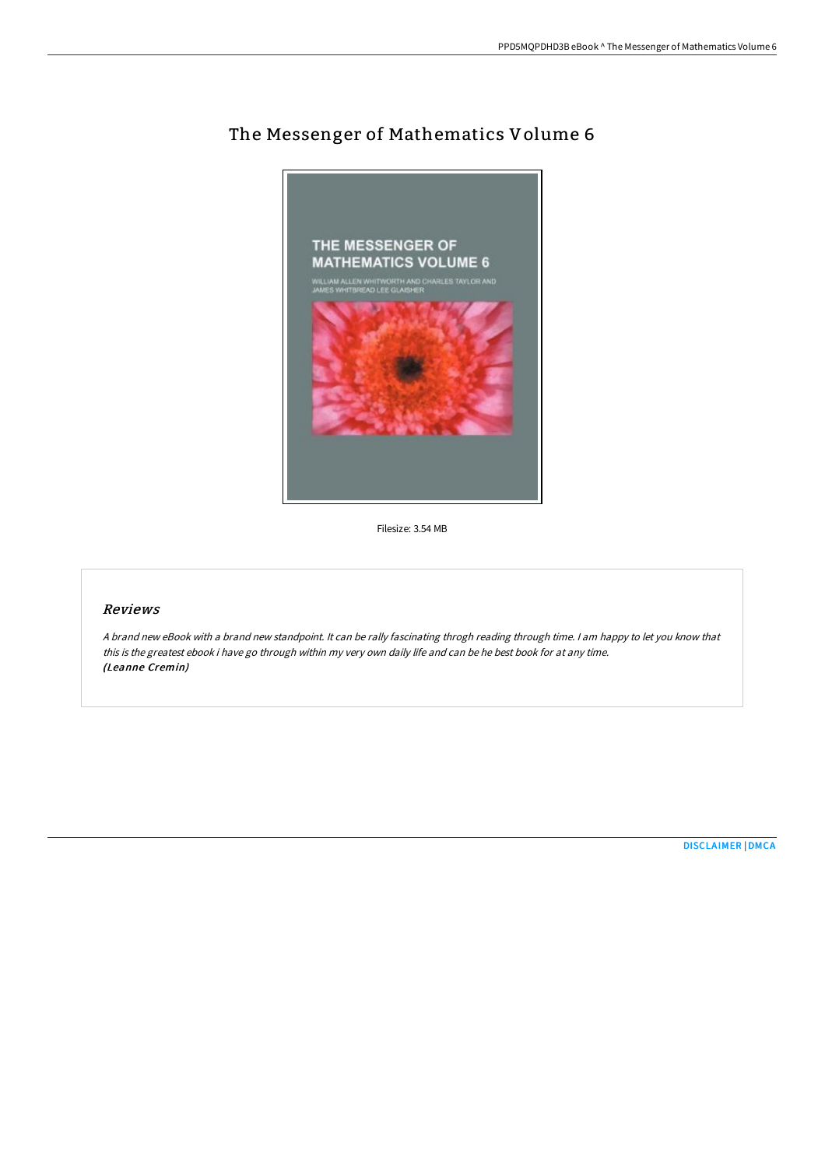

# The Messenger of Mathematics Volume 6

Filesize: 3.54 MB

# Reviews

<sup>A</sup> brand new eBook with <sup>a</sup> brand new standpoint. It can be rally fascinating throgh reading through time. <sup>I</sup> am happy to let you know that this is the greatest ebook i have go through within my very own daily life and can be he best book for at any time. (Leanne Cremin)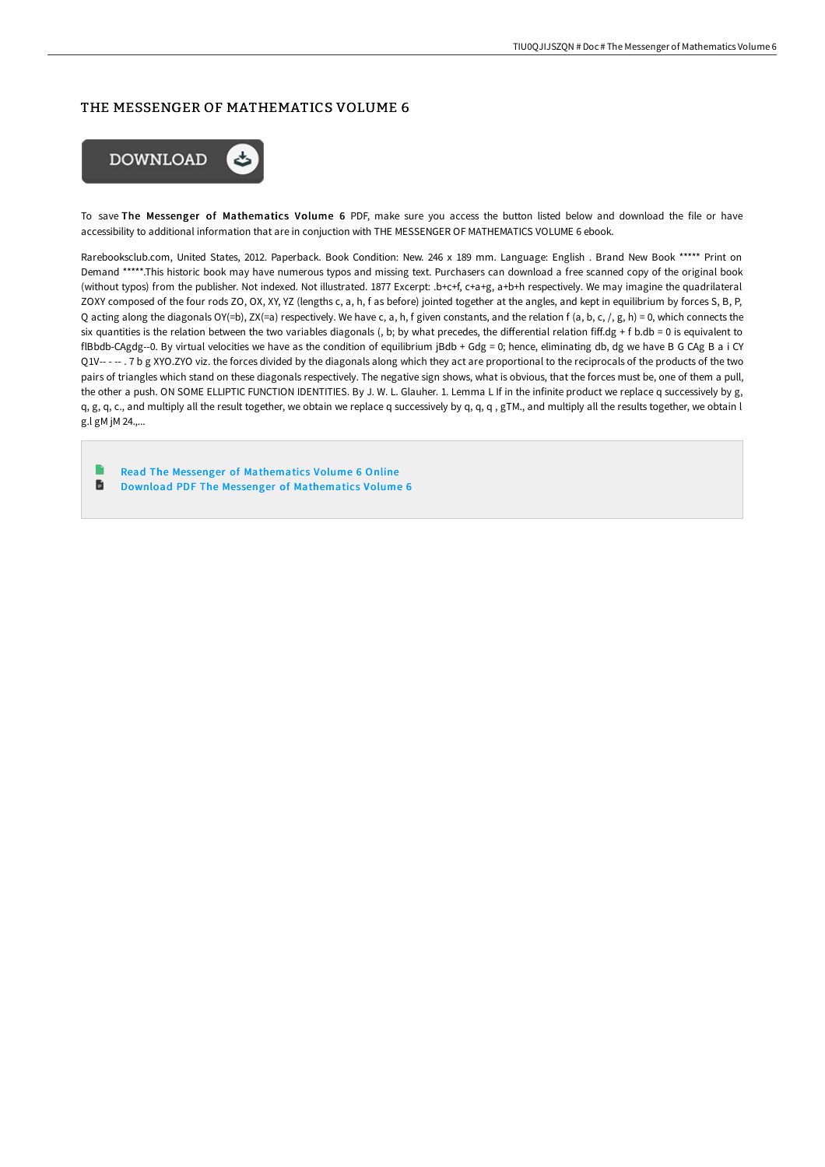# THE MESSENGER OF MATHEMATICS VOLUME 6



To save The Messenger of Mathematics Volume 6 PDF, make sure you access the button listed below and download the file or have accessibility to additional information that are in conjuction with THE MESSENGER OF MATHEMATICS VOLUME 6 ebook.

Rarebooksclub.com, United States, 2012. Paperback. Book Condition: New. 246 x 189 mm. Language: English . Brand New Book \*\*\*\*\* Print on Demand \*\*\*\*\*.This historic book may have numerous typos and missing text. Purchasers can download a free scanned copy of the original book (without typos) from the publisher. Not indexed. Not illustrated. 1877 Excerpt: .b+c+f, c+a+g, a+b+h respectively. We may imagine the quadrilateral ZOXY composed of the four rods ZO, OX, XY, YZ (lengths c, a, h, f as before) jointed together at the angles, and kept in equilibrium by forces S, B, P, Q acting along the diagonals OY(=b), ZX(=a) respectively. We have c, a, h, f given constants, and the relation f (a, b, c, /, g, h) = 0, which connects the six quantities is the relation between the two variables diagonals (, b; by what precedes, the differential relation fiff.dg + f b.db = 0 is equivalent to flBbdb-CAgdg--0. By virtual velocities we have as the condition of equilibrium jBdb + Gdg = 0; hence, eliminating db, dg we have B G CAg B a i CY Q1V-- - -- . 7 b g XYO.ZYO viz. the forces divided by the diagonals along which they act are proportional to the reciprocals of the products of the two pairs of triangles which stand on these diagonals respectively. The negative sign shows, what is obvious, that the forces must be, one of them a pull, the other a push. ON SOME ELLIPTIC FUNCTION IDENTITIES. By J. W. L. Glauher. 1. Lemma L If in the infinite product we replace q successively by g, q, g, q, c., and multiply all the result together, we obtain we replace q successively by q, q, q, gTM., and multiply all the results together, we obtain l g.l gM jM 24.,...

Read The Messenger of [Mathematics](http://bookera.tech/the-messenger-of-mathematics-volume-6-paperback.html) Volume 6 Online B Download PDF The Messenger of [Mathematics](http://bookera.tech/the-messenger-of-mathematics-volume-6-paperback.html) Volume 6